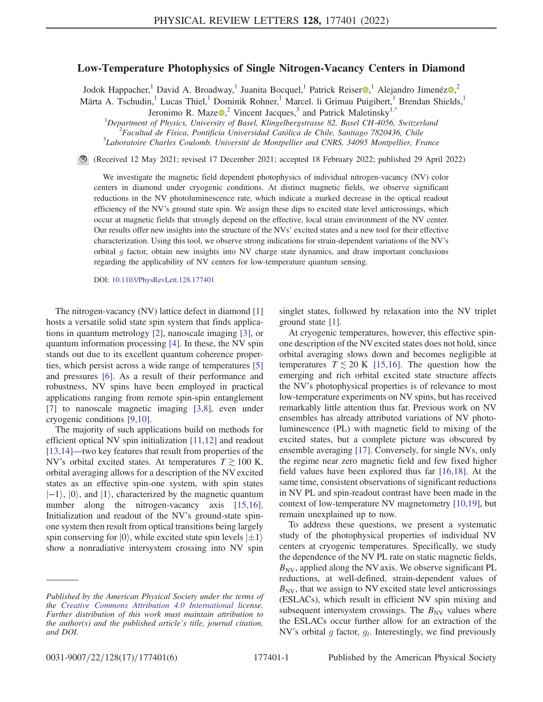## Low-Temperature Photophysics of Single Nitrogen-Vacancy Centers in Diamond

<span id="page-0-0"></span>Jodok Happacher, <sup>1</sup> David A. Broadway, <sup>1</sup> Juanita Bocquel, <sup>1</sup> Patrick Reiser<sup>®</sup>, <sup>1</sup> Alejandro Jimenéz<sup>®</sup>, <sup>2</sup> Märta A. Tschudin,<sup>1</sup> Lucas Thiel,<sup>1</sup> Dominik Rohner,<sup>1</sup> Marcel. li Grimau Puigibert,<sup>1</sup> Brendan Shields,<sup>1</sup>

Jeronimo R. Maze $\Omega$ , Vincent Jacques,<sup>3</sup> and Patrick Maletinsky<sup>[1,\\*](#page-4-0)</sup>

<sup>1</sup>Department of Physics, University of Basel, Klingelbergstrasse 82, Basel CH-4056, Switzerland<br><sup>2</sup>Eggultad de Eísias, Pontificia Universidad Catélica de Chile, Santigae 7820436, Chile

 $^{2}$ Facultad de Física, Pontificia Universidad Católica de Chile, Santiago 7820436, Chile

 $3$ Laboratoire Charles Coulomb, Université de Montpellier and CNRS, 34095 Montpellier, France

(Received 12 May 2021; revised 17 December 2021; accepted 18 February 2022; published 29 April 2022)

We investigate the magnetic field dependent photophysics of individual nitrogen-vacancy (NV) color centers in diamond under cryogenic conditions. At distinct magnetic fields, we observe significant reductions in the NV photoluminescence rate, which indicate a marked decrease in the optical readout efficiency of the NV's ground state spin. We assign these dips to excited state level anticrossings, which occur at magnetic fields that strongly depend on the effective, local strain environment of the NV center. Our results offer new insights into the structure of the NVs' excited states and a new tool for their effective characterization. Using this tool, we observe strong indications for strain-dependent variations of the NV's orbital  $q$  factor, obtain new insights into NV charge state dynamics, and draw important conclusions regarding the applicability of NV centers for low-temperature quantum sensing.

DOI: [10.1103/PhysRevLett.128.177401](https://doi.org/10.1103/PhysRevLett.128.177401)

The nitrogen-vacancy (NV) lattice defect in diamond [\[1\]](#page-4-1) hosts a versatile solid state spin system that finds applications in quantum metrology [\[2](#page-4-2)], nanoscale imaging [\[3](#page-4-3)], or quantum information processing [[4](#page-4-4)]. In these, the NV spin stands out due to its excellent quantum coherence properties, which persist across a wide range of temperatures [\[5\]](#page-4-5) and pressures [[6\]](#page-4-6). As a result of their performance and robustness, NV spins have been employed in practical applications ranging from remote spin-spin entanglement [\[7\]](#page-4-7) to nanoscale magnetic imaging [[3](#page-4-3)[,8\]](#page-4-8), even under cryogenic conditions [\[9](#page-4-9),[10](#page-4-10)].

The majority of such applications build on methods for efficient optical NV spin initialization [[11](#page-4-11),[12](#page-4-12)] and readout [\[13](#page-4-13)[,14\]](#page-4-14)—two key features that result from properties of the NV's orbital excited states. At temperatures  $T \gtrsim 100$  K, orbital averaging allows for a description of the NV excited states as an effective spin-one system, with spin states  $|{-1}\rangle$ ,  $|0\rangle$ , and  $|1\rangle$ , characterized by the magnetic quantum number along the nitrogen-vacancy axis [\[15,](#page-4-15)[16](#page-4-16)]. Initialization and readout of the NV's ground-state spinone system then result from optical transitions being largely spin conserving for  $|0\rangle$ , while excited state spin levels  $|\pm 1\rangle$ <br>show a nonradiative intersystem crossing into NV spin show a nonradiative intersystem crossing into NV spin singlet states, followed by relaxation into the NV triplet ground state [\[1](#page-4-1)].

At cryogenic temperatures, however, this effective spinone description of the NVexcited states does not hold, since orbital averaging slows down and becomes negligible at temperatures  $T \lesssim 20$  K [[15,](#page-4-15)[16](#page-4-16)]. The question how the emerging and rich orbital excited state structure affects the NV's photophysical properties is of relevance to most low-temperature experiments on NV spins, but has received remarkably little attention thus far. Previous work on NV ensembles has already attributed variations of NV photoluminescence (PL) with magnetic field to mixing of the excited states, but a complete picture was obscured by ensemble averaging [[17](#page-4-17)]. Conversely, for single NVs, only the regime near zero magnetic field and few fixed higher field values have been explored thus far [[16](#page-4-16),[18](#page-5-0)]. At the same time, consistent observations of significant reductions in NV PL and spin-readout contrast have been made in the context of low-temperature NV magnetometry [\[10,](#page-4-10)[19](#page-5-1)], but remain unexplained up to now.

To address these questions, we present a systematic study of the photophysical properties of individual NV centers at cryogenic temperatures. Specifically, we study the dependence of the NV PL rate on static magnetic fields,  $B_{\text{NV}}$ , applied along the NV axis. We observe significant PL reductions, at well-defined, strain-dependent values of  $B_{\text{NV}}$ , that we assign to NV excited state level anticrossings (ESLACs), which result in efficient NV spin mixing and subsequent intersystem crossings. The  $B_{\text{NV}}$  values where the ESLACs occur further allow for an extraction of the NV's orbital g factor,  $g_l$ . Interestingly, we find previously

Published by the American Physical Society under the terms of the [Creative Commons Attribution 4.0 International](https://creativecommons.org/licenses/by/4.0/) license. Further distribution of this work must maintain attribution to the author(s) and the published article's title, journal citation, and DOI.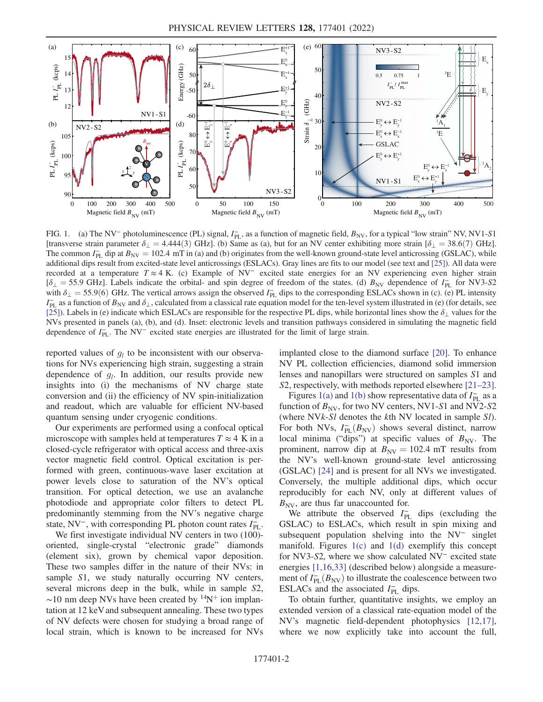<span id="page-1-0"></span>

FIG. 1. (a) The NV<sup>-</sup> photoluminescence (PL) signal,  $I_{PL}$ , as a function of magnetic field,  $B_{NV}$ , for a typical "low strain" NV, NV1-S1 [transverse strain parameter  $\delta_{\perp} = 4.444(3)$  GHz]. (b) Same as (a), but for an NV center exhibiting more strain [ $\delta_{\perp} = 38.6(7)$  GHz]. The common  $I_{PL}^-$  dip at  $B_{NV} = 102.4$  mT in (a) and (b) originates from the well-known ground-state level anticrossing (GSLAC), while<br>additional dips result from excited-state level anticrossings (ESLACs). Gray lines ar additional dips result from excited-state level anticrossings (ESLACs). Gray lines are fits to our model (see text and [[25](#page-5-7)]). All data were recorded at a temperature T ≈ 4 K. (c) Example of NV<sup>−</sup> excited state energies for an NV experiencing even higher strain  $[\delta_{\perp} = 55.9 \text{ GHz}]$ . Labels indicate the orbital- and spin degree of freedom of the states. (d)  $B_{\text{NV}}$  dependence of  $I_{\text{PL}}^-$  for NV3-S2 with  $\delta_{\perp} = 55.9\,(6)$  GHz. The vertical arrows assign the observed  $I_{\text{PL}}$ with  $\delta_{\perp} = 55.9(6)$  GHz. The vertical arrows assign the observed  $I_{\rm PL}^-$  dips to the corresponding ESLACs shown in (c). (e) PL intensity  $I_{\rm T}^-$  as a function of  $R_{\rm rot}$  and  $\delta_{\rm cr}$  calculated from a classical  $I_{PL}$  as a function of  $B_{NV}$  and  $\delta_{\perp}$ , calculated from a classical rate equation model for the ten-level system illustrated in (e) (for details, see [\[25\]](#page-5-7)). Labels in (e) indicate which ESLACs are responsible for the respective PL dips, while horizontal lines show the  $\delta_{\perp}$  values for the NVs presented in panels (a), (b), and (d). Inset: electronic levels and transition pathways considered in simulating the magnetic field dependence of  $I_{\text{PL}}^-$ . The NV<sup>−</sup> excited state energies are illustrated for the limit of large strain.

reported values of  $g_l$  to be inconsistent with our observations for NVs experiencing high strain, suggesting a strain dependence of  $g_l$ . In addition, our results provide new insights into (i) the mechanisms of NV charge state conversion and (ii) the efficiency of NV spin-initialization and readout, which are valuable for efficient NV-based quantum sensing under cryogenic conditions.

Our experiments are performed using a confocal optical microscope with samples held at temperatures  $T \approx 4$  K in a closed-cycle refrigerator with optical access and three-axis vector magnetic field control. Optical excitation is performed with green, continuous-wave laser excitation at power levels close to saturation of the NV's optical transition. For optical detection, we use an avalanche photodiode and appropriate color filters to detect PL predominantly stemming from the NV's negative charge state, NV<sup>-</sup>, with corresponding PL photon count rates  $I_{\text{PL}}^-$ .

We first investigate individual NV centers in two  $(100)$ oriented, single-crystal "electronic grade" diamonds (element six), grown by chemical vapor deposition. These two samples differ in the nature of their NVs: in sample S1, we study naturally occurring NV centers, several microns deep in the bulk, while in sample S2,  $\sim$ 10 nm deep NVs have been created by <sup>14</sup>N<sup>+</sup> ion implantation at 12 keV and subsequent annealing. These two types of NV defects were chosen for studying a broad range of local strain, which is known to be increased for NVs implanted close to the diamond surface [\[20\]](#page-5-2). To enhance NV PL collection efficiencies, diamond solid immersion lenses and nanopillars were structured on samples S1 and S2, respectively, with methods reported elsewhere [[21](#page-5-3)–[23](#page-5-4)].

Figures [1\(a\)](#page-1-0) and [1\(b\)](#page-1-0) show representative data of  $I_{\text{PL}}^-$  as a function of  $B_{\text{NV}}$ , for two NV centers, NV1-S1 and NV2-S2 (where  $NVk-Sl$  denotes the kth NV located in sample  $SI$ ). For both NVs,  $I_{PL}^{-}(B_{NV})$  shows several distinct, narrow<br>local minima ("dins") at specific values of  $B_{NU}$ . The local minima ("dips") at specific values of  $B_{\text{NV}}$ . The prominent, narrow dip at  $B_{\text{NV}} = 102.4 \text{ mT}$  results from the NV's well-known ground-state level anticrossing (GSLAC) [\[24\]](#page-5-5) and is present for all NVs we investigated. Conversely, the multiple additional dips, which occur reproducibly for each NV, only at different values of  $B_{\text{NV}}$ , are thus far unaccounted for.

We attribute the observed  $I_{\text{PL}}^-$  dips (excluding the GSLAC) to ESLACs, which result in spin mixing and subsequent population shelving into the NV<sup>-</sup> singlet manifold. Figures [1\(c\)](#page-1-0) and [1\(d\)](#page-1-0) exemplify this concept for NV3-S2, where we show calculated NV<sup>−</sup> excited state energies [[1](#page-4-1),[16](#page-4-16),[33](#page-5-6)] (described below) alongside a measurement of  $I_{\text{PL}}(B_{\text{NV}})$  to illustrate the coalescence between two<br>FSI ACs and the associated  $I^{-}$  dins ESLACs and the associated  $I_{\text{PL}}^-$  dips.

To obtain further, quantitative insights, we employ an extended version of a classical rate-equation model of the NV's magnetic field-dependent photophysics [\[12,](#page-4-12)[17](#page-4-17)], where we now explicitly take into account the full,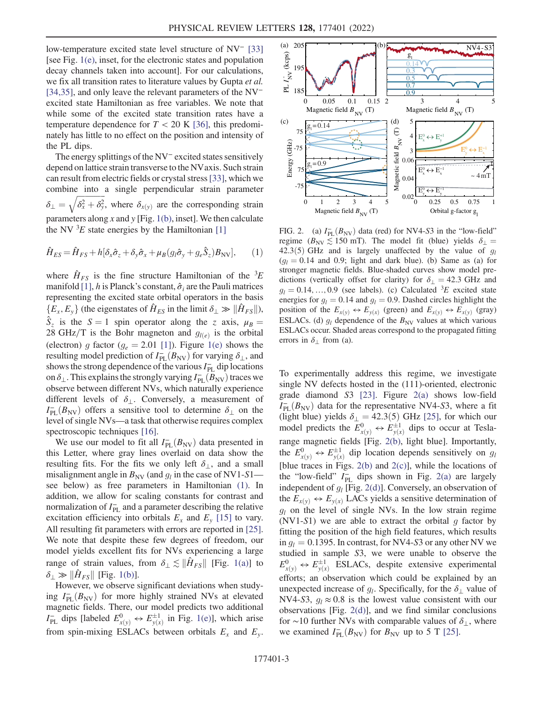low-temperature excited state level structure of NV<sup>−</sup> [\[33\]](#page-5-6) [see Fig.  $1(e)$ , inset, for the electronic states and population decay channels taken into account]. For our calculations, we fix all transition rates to literature values by Gupta et al. [\[34](#page-5-8)[,35\]](#page-5-9), and only leave the relevant parameters of the NV<sup>−</sup> excited state Hamiltonian as free variables. We note that while some of the excited state transition rates have a temperature dependence for  $T < 20$  K [[36](#page-5-10)], this predominately has little to no effect on the position and intensity of the PL dips.

The energy splittings of the NV<sup>−</sup> excited states sensitively depend on lattice strain transverse to the NVaxis. Such strain can result from electric fields or crystal stress[\[33\]](#page-5-6), which we combine into a single perpendicular strain parameter  $\delta_{\perp} = \sqrt{\delta_x^2 + \delta_y^2}$ , where  $\delta_{x(y)}$  are the corresponding strain parameters along x and y [Fig. [1\(b\),](#page-1-0) inset]. We then calculate the NV  ${}^{3}E$  state energies by the Hamiltonian [[1\]](#page-4-1)

<span id="page-2-0"></span>
$$
\hat{H}_{ES} = \hat{H}_{FS} + h[\delta_x \hat{\sigma}_z + \delta_y \hat{\sigma}_x + \mu_B (g_l \hat{\sigma}_y + g_e \hat{S}_z) B_{\text{NV}}],\tag{1}
$$

where  $\hat{H}_{FS}$  is the fine structure Hamiltonian of the <sup>3</sup>E manifold [[1\]](#page-4-1), h is Planck's constant,  $\hat{\sigma}_i$  are the Pauli matrices representing the excited state orbital operators in the basis  ${E_x, E_y}$  (the eigenstates of  $\hat{H}_{ES}$  in the limit  $\delta_{\perp} \gg ||\hat{H}_{FS}||$ ),  $S_z$  is the  $S = 1$  spin operator along the z axis,  $\mu_B =$ 28 GHz/T is the Bohr magneton and  $g_{l(e)}$  is the orbital (electron) g factor ( $g_e = 2.01$  [[1\]](#page-4-1)). Figure [1\(e\)](#page-1-0) shows the resulting model prediction of  $I_{PL}^{-}(B_{NV})$  for varying  $\delta_{\perp}$ , and shows the strong dependence of the various  $I_{\perp}^{-}$  din locations shows the strong dependence of the various  $I_{\rm PL}^-$  dip locations on  $\delta_{\perp}$ . This explains the strongly varying  $I_{PL}^-(B_{NV})$  traces we observe between different NVs, which naturally experience observe between different NVs, which naturally experience different levels of  $\delta_{\perp}$ . Conversely, a measurement of  $I_{PL}^{-}(B_{NV})$  offers a sensitive tool to determine  $\delta_{\perp}$  on the level of single NVs—a task that otherwise requires complex level of single NVs—a task that otherwise requires complex spectroscopic techniques [[16](#page-4-16)].

We use our model to fit all  $I_{PL}^{-}(B_{NV})$  data presented in<br>s Letter, where gray lines overlaid on data show the this Letter, where gray lines overlaid on data show the resulting fits. For the fits we only left  $\delta_{\perp}$ , and a small misalignment angle in  $B_{\text{NV}}$  (and  $g_l$  in the case of NV1-S1 see below) as free parameters in Hamiltonian [\(1\)](#page-2-0). In addition, we allow for scaling constants for contrast and normalization of  $I_{\text{PL}}^-$  and a parameter describing the relative excitation efficiency into orbitals  $E_x$  and  $E_y$  [\[15\]](#page-4-15) to vary. All resulting fit parameters with errors are reported in [[25](#page-5-7)]. We note that despite these few degrees of freedom, our model yields excellent fits for NVs experiencing a large range of strain values, from  $\delta_{\perp} \lesssim ||\hat{H}_{FS}||$  [Fig. [1\(a\)](#page-1-0)] to  $\delta_{\perp} \gg ||\hat{H}_{FS}||$  [Fig. [1\(b\)](#page-1-0)].

However, we observe significant deviations when studying  $I_{PL}^{-}(B_{NV})$  for more highly strained NVs at elevated<br>magnetic fields. There our model predicts two additional magnetic fields. There, our model predicts two additional  $I_{\text{PL}}^-$  dips [labeled  $E_{x(y)}^0 \leftrightarrow E_{y(x)}^{\pm 1}$  in Fig. [1\(e\)](#page-1-0)], which arise from spin-mixing ESLACs between orbitals  $E_x$  and  $E_y$ .

<span id="page-2-1"></span>

FIG. 2. (a)  $I_{PL}^{-}(B_{NV})$  data (red) for NV4-S3 in the "low-field"<br>regime  $(B_{NL} \le 150 \text{ mT})$ . The model fit (blue) yields  $\delta_{L}$ regime ( $B_{\text{NV}} \lesssim 150$  mT). The model fit (blue) yields  $\delta_{\perp} =$ 42.3(5) GHz and is largely unaffected by the value of  $q_l$  $(q_l = 0.14$  and 0.9; light and dark blue). (b) Same as (a) for stronger magnetic fields. Blue-shaded curves show model predictions (vertically offset for clarity) for  $\delta_{\perp} = 42.3$  GHz and  $g_l = 0.14, ..., 0.9$  (see labels). (c) Calculated <sup>3</sup>E excited state energies for  $a_i = 0.14$  and  $a_i = 0.9$  Dashed circles highlight the energies for  $g_l = 0.14$  and  $g_l = 0.9$ . Dashed circles highlight the position of the  $E_{x(y)} \leftrightarrow E_{y(x)}$  (green) and  $E_{x(y)} \leftrightarrow E_{x(y)}$  (gray) ESLACs. (d)  $g_l$  dependence of the  $B_{\text{NV}}$  values at which various ESLACs occur. Shaded areas correspond to the propagated fitting errors in  $\delta_{\perp}$  from (a).

To experimentally address this regime, we investigate single NV defects hosted in the (111)-oriented, electronic grade diamond  $S3$  [\[23\]](#page-5-4). Figure [2\(a\)](#page-2-1) shows low-field  $I_{PL}^{-}(B_{NV})$  data for the representative NV4-S3, where a fit<br>(light blue) yields  $\delta_1 = 42.3(5)$  GHz [25], for which our (light blue) yields  $\delta_{\perp} = 42.3(5)$  GHz [\[25\]](#page-5-7), for which our model predicts the  $E_{x(y)}^0 \leftrightarrow E_{y(x)}^{\pm 1}$  dips to occur at Teslarange magnetic fields [Fig. [2\(b\),](#page-2-1) light blue]. Importantly, the  $E_{x(y)}^0 \leftrightarrow E_{y(x)}^{\pm 1}$  dip location depends sensitively on  $g_t$ <br>
Iblue traces in Eige 2(b) and 2(c)], while the locations of [blue traces in Figs. [2\(b\)](#page-2-1) and [2\(c\)](#page-2-1)], while the locations of the "low-field"  $I_{PL}^-$  dips shown in Fig. [2\(a\)](#page-2-1) are largely independent of  $g_l$  [Fig. [2\(d\)\]](#page-2-1). Conversely, an observation of the  $E_{x(y)} \leftrightarrow E_{y(x)}$  LACs yields a sensitive determination of  $g_l$  on the level of single NVs. In the low strain regime (NV1-S1) we are able to extract the orbital  $g$  factor by fitting the position of the high field features, which results in  $q_1 = 0.1395$ . In contrast, for NV4-S3 or any other NV we studied in sample S3, we were unable to observe the  $E_{\chi(y)}^0 \leftrightarrow E_{y(x)}^{\pm 1}$  ESLACs, despite extensive experimental efforts; an observation which could be explained by an unexpected increase of  $g_l$ . Specifically, for the  $\delta_{\perp}$  value of NV4-S3,  $g_l \approx 0.8$  is the lowest value consistent with our observations [Fig. [2\(d\)](#page-2-1)], and we find similar conclusions for ∼10 further NVs with comparable values of  $\delta_{\perp}$ , where we examined  $I_{\rm PL}$  $(B_{\rm NV})$  for  $B_{\rm NV}$  up to 5 T [\[25\]](#page-5-7).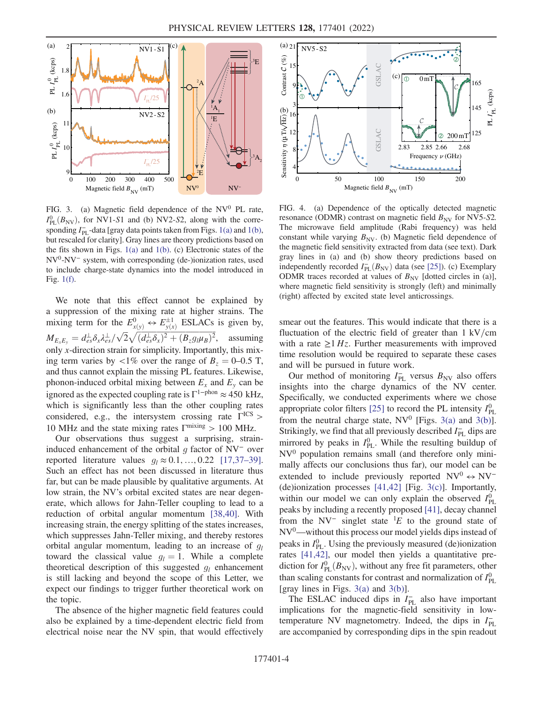<span id="page-3-0"></span>

FIG. 3. (a) Magnetic field dependence of the  $NV^0$  PL rate,  $I_{\text{PL}}^0(B_{\text{NV}})$ , for NV1-S1 and (b) NV2-S2, along with the corre-<br>sponding  $I^-$  -data foravidata points taken from Figs. 1(a) and 1(b) sponding  $I_{\text{PL}}^-$ -data [gray data points taken from Figs. [1\(a\)](#page-1-0) and [1\(b\),](#page-1-0) but rescaled for clarity]. Gray lines are theory predictions based on the fits shown in Figs. [1\(a\)](#page-1-0) and [1\(b\).](#page-1-0) (c) Electronic states of the NV<sup>0</sup>-NV<sup>−</sup> system, with corresponding (de-)ionization rates, used to include charge-state dynamics into the model introduced in Fig. [1\(f\)](#page-1-0).

We note that this effect cannot be explained by a suppression of the mixing rate at higher strains. The mixing term for the  $E_{\chi(y)}^0 \leftrightarrow E_{y(x)}^{\pm 1}$  ESLACs is given by,  $M_{E_xE_y} = d_{es}^{\perp} \delta_x \lambda_{es}^{\perp}/\sqrt{2} \sqrt{(d_{es}^{\perp} \delta_x)^2 + (B_z g_{\parallel} \mu_B)^2}$ , assuming<br>only a direction strain for simplicity. Innortantly, this mix only x-direction strain for simplicity. Importantly, this mixing term varies by <1% over the range of  $B_z = 0{\text -}0.5$  T, and thus cannot explain the missing PL features. Likewise, phonon-induced orbital mixing between  $E_x$  and  $E_y$  can be ignored as the expected coupling rate is  $\Gamma$ <sup>1−phon</sup>  $\approx$  450 kHz, which is significantly less than the other coupling rates considered, e.g., the intersystem crossing rate  $\Gamma^{\text{ICS}}$  > 10 MHz and the state mixing rates  $\Gamma^{\text{mixing}} > 100$  MHz.

Our observations thus suggest a surprising, straininduced enhancement of the orbital  $q$  factor of NV<sup>-</sup> over reported literature values  $g_l \approx 0.1, \ldots, 0.22$  [[17](#page-4-17),[37](#page-5-11)–[39](#page-5-12)]. Such an effect has not been discussed in literature thus far, but can be made plausible by qualitative arguments. At low strain, the NV's orbital excited states are near degenerate, which allows for Jahn-Teller coupling to lead to a reduction of orbital angular momentum [[38](#page-5-13),[40](#page-5-14)]. With increasing strain, the energy splitting of the states increases, which suppresses Jahn-Teller mixing, and thereby restores orbital angular momentum, leading to an increase of  $g_l$ toward the classical value  $g_l = 1$ . While a complete theoretical description of this suggested  $g_l$  enhancement is still lacking and beyond the scope of this Letter, we expect our findings to trigger further theoretical work on the topic.

The absence of the higher magnetic field features could also be explained by a time-dependent electric field from electrical noise near the NV spin, that would effectively

<span id="page-3-1"></span>

FIG. 4. (a) Dependence of the optically detected magnetic resonance (ODMR) contrast on magnetic field  $B_{\text{NV}}$  for NV5-S2. The microwave field amplitude (Rabi frequency) was held constant while varying  $B_{\text{NV}}$ . (b) Magnetic field dependence of the magnetic field sensitivity extracted from data (see text). Dark gray lines in (a) and (b) show theory predictions based on independently recorded  $I_{PL}^{-}(B_{NV})$  data (see [[25](#page-5-7)]). (c) Exemplary<br>ODMR traces recorded at values of  $B_{V}$ . Idotted circles in (a)] ODMR traces recorded at values of  $B_{\text{NV}}$  [dotted circles in (a)], where magnetic field sensitivity is strongly (left) and minimally (right) affected by excited state level anticrossings.

smear out the features. This would indicate that there is a fluctuation of the electric field of greater than  $1 \text{ kV/cm}$ with a rate  $>1$  Hz. Further measurements with improved time resolution would be required to separate these cases and will be pursued in future work.

Our method of monitoring  $I_{\text{PL}}^-$  versus  $B_{\text{NV}}$  also offers insights into the charge dynamics of the NV center. Specifically, we conducted experiments where we chose appropriate color filters [[25](#page-5-7)] to record the PL intensity  $I_{PL}^0$ from the neutral charge state,  $NV^0$  [Figs. [3\(a\)](#page-3-0) and [3\(b\)](#page-3-0)]. Strikingly, we find that all previously described  $I_{\text{PL}}^-$  dips are mirrored by peaks in  $I_{\text{PL}}^0$ . While the resulting buildup of  $NV<sup>0</sup>$  population remains small (and therefore only minimally affects our conclusions thus far), our model can be extended to include previously reported  $NV^0 \leftrightarrow NV^-$ (de)ionization processes [[41](#page-5-15),[42](#page-5-16)] [Fig. [3\(c\)](#page-3-0)]. Importantly, within our model we can only explain the observed  $I_{PL}^0$ peaks by including a recently proposed [\[41\]](#page-5-15), decay channel from the NV<sup>-</sup> singlet state  ${}^{1}E$  to the ground state of  $NV<sup>0</sup>$ —without this process our model yields dips instead of peaks in  $I_{\rm PL}^0$ . Using the previously measured (de)ionization rates [[41](#page-5-15)[,42](#page-5-16)], our model then yields a quantitative prediction for  $I_{\text{PL}}^0(B_{\text{NV}})$ , without any free fit parameters, other<br>than scaling constants for contrast and normalization of  $I^0$ than scaling constants for contrast and normalization of  $I_{PL}^0$ [gray lines in Figs.  $3(a)$  and  $3(b)$ ].

The ESLAC induced dips in  $I_{PL}^-$  also have important implications for the magnetic-field sensitivity in lowtemperature NV magnetometry. Indeed, the dips in  $I_{\rm PL}$ are accompanied by corresponding dips in the spin readout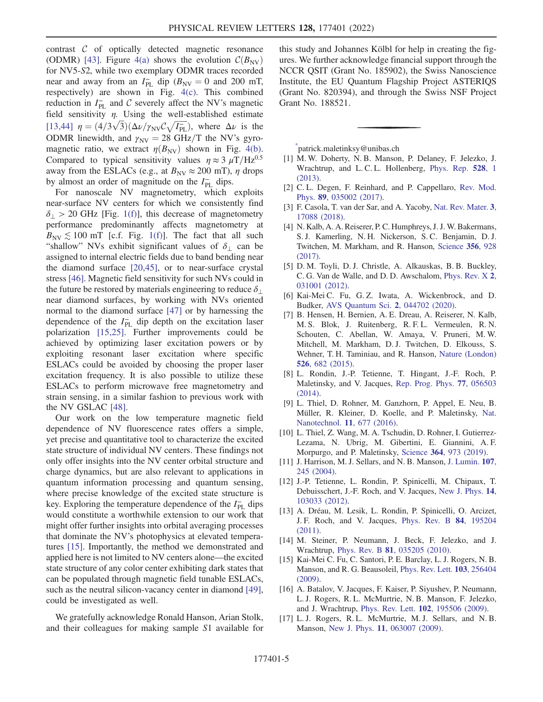contrast  $C$  of optically detected magnetic resonance (ODMR) [\[43\]](#page-5-17). Figure [4\(a\)](#page-3-1) shows the evolution  $\mathcal{C}(B_{\text{NV}})$ for NV5-S2, while two exemplary ODMR traces recorded near and away from an  $I_{PL}^-$  dip  $(B_{NV} = 0$  and 200 mT,<br>respectively) are shown in Fig.  $A(c)$ . This combined respectively) are shown in Fig. [4\(c\).](#page-3-1) This combined reduction in  $I_{\text{PL}}^-$  and C severely affect the NV's magnetic field sensitivity  $\eta$ . Using the well-established estimate [\[13](#page-4-13)[,44\]](#page-5-18)  $\eta = (4/3\sqrt{3})(\Delta \nu/\gamma_{\text{NV}} C \sqrt{I_{\text{PL}}})$ , where  $\Delta \nu$  is the ODMB linewidth and  $\gamma = 28 \text{ GHz/T}$  the NV's gyro ODMR linewidth, and  $\gamma_{\text{NV}}=28 \text{ GHz/T}$  the NV's gyromagnetic ratio, we extract  $\eta(B_{\text{NV}})$  shown in Fig. [4\(b\)](#page-3-1). Compared to typical sensitivity values  $\eta \approx 3 \mu T/Hz^{0.5}$ away from the ESLACs (e.g., at  $B_{\text{NV}} \approx 200$  mT),  $\eta$  drops by almost an order of magnitude on the  $I_{\text{PL}}^-$  dips.

For nanoscale NV magnetometry, which exploits near-surface NV centers for which we consistently find  $\delta_{\perp}$  > 20 GHz [Fig. [1\(f\)](#page-1-0)], this decrease of magnetometry performance predominantly affects magnetometry at  $B_{\text{NV}} \lesssim 100 \text{ mT}$  [c.f. Fig. [1\(f\)](#page-1-0)]. The fact that all such "shallow" NVs exhibit significant values of  $\delta_{\perp}$  can be assigned to internal electric fields due to band bending near the diamond surface [[20](#page-5-2),[45](#page-5-19)], or to near-surface crystal stress [[46](#page-5-20)]. Magnetic field sensitivity for such NVs could in the future be restored by materials engineering to reduce  $\delta_{\perp}$ near diamond surfaces, by working with NVs oriented normal to the diamond surface [\[47\]](#page-5-21) or by harnessing the dependence of the  $I_{\text{PL}}^-$  dip depth on the excitation laser polarization [[15](#page-4-15),[25](#page-5-7)]. Further improvements could be achieved by optimizing laser excitation powers or by exploiting resonant laser excitation where specific ESLACs could be avoided by choosing the proper laser excitation frequency. It is also possible to utilize these ESLACs to perform microwave free magnetometry and strain sensing, in a similar fashion to previous work with the NV GSLAC [[48](#page-5-22)].

Our work on the low temperature magnetic field dependence of NV fluorescence rates offers a simple, yet precise and quantitative tool to characterize the excited state structure of individual NV centers. These findings not only offer insights into the NV center orbital structure and charge dynamics, but are also relevant to applications in quantum information processing and quantum sensing, where precise knowledge of the excited state structure is key. Exploring the temperature dependence of the  $I_{\text{PL}}^-$  dips would constitute a worthwhile extension to our work that might offer further insights into orbital averaging processes that dominate the NV's photophysics at elevated temperatures [\[15\]](#page-4-15). Importantly, the method we demonstrated and applied here is not limited to NV centers alone—the excited state structure of any color center exhibiting dark states that can be populated through magnetic field tunable ESLACs, such as the neutral silicon-vacancy center in diamond [[49](#page-5-23)], could be investigated as well.

We gratefully acknowledge Ronald Hanson, Arian Stolk, and their colleagues for making sample S1 available for this study and Johannes Kölbl for help in creating the figures. We further acknowledge financial support through the NCCR QSIT (Grant No. 185902), the Swiss Nanoscience Institute, the EU Quantum Flagship Project ASTERIQS (Grant No. 820394), and through the Swiss NSF Project Grant No. 188521.

<span id="page-4-0"></span>[\\*](#page-0-0) patrick.maletinksy@unibas.ch

- <span id="page-4-2"></span><span id="page-4-1"></span>[1] M. W. Doherty, N. B. Manson, P. Delaney, F. Jelezko, J. Wrachtrup, and L. C. L. Hollenberg, [Phys. Rep.](https://doi.org/10.1016/j.physrep.2013.02.001) 528, 1 [\(2013\).](https://doi.org/10.1016/j.physrep.2013.02.001)
- <span id="page-4-3"></span>[2] C. L. Degen, F. Reinhard, and P. Cappellaro, [Rev. Mod.](https://doi.org/10.1103/RevModPhys.89.035002) Phys. 89[, 035002 \(2017\)](https://doi.org/10.1103/RevModPhys.89.035002).
- <span id="page-4-4"></span>[3] F. Casola, T. van der Sar, and A. Yacoby, [Nat. Rev. Mater.](https://doi.org/10.1038/natrevmats.2017.88) 3, [17088 \(2018\).](https://doi.org/10.1038/natrevmats.2017.88)
- [4] N. Kalb, A. A. Reiserer, P. C. Humphreys, J. J. W. Bakermans, S. J. Kamerling, N. H. Nickerson, S. C. Benjamin, D. J. Twitchen, M. Markham, and R. Hanson, [Science](https://doi.org/10.1126/science.aan0070) 356, 928 [\(2017\)](https://doi.org/10.1126/science.aan0070).
- <span id="page-4-6"></span><span id="page-4-5"></span>[5] D. M. Toyli, D. J. Christle, A. Alkauskas, B. B. Buckley, C. G. Van de Walle, and D. D. Awschalom, [Phys. Rev. X](https://doi.org/10.1103/PhysRevX.2.031001) 2, [031001 \(2012\).](https://doi.org/10.1103/PhysRevX.2.031001)
- <span id="page-4-7"></span>[6] Kai-Mei C. Fu, G. Z. Iwata, A. Wickenbrock, and D. Budker, [AVS Quantum Sci.](https://doi.org/10.1116/5.0025186) 2, 044702 (2020).
- [7] B. Hensen, H. Bernien, A. E. Dreau, A. Reiserer, N. Kalb, M. S. Blok, J. Ruitenberg, R. F. L. Vermeulen, R. N. Schouten, C. Abellan, W. Amaya, V. Pruneri, M. W. Mitchell, M. Markham, D. J. Twitchen, D. Elkouss, S. Wehner, T. H. Taminiau, and R. Hanson, [Nature \(London\)](https://doi.org/10.1038/nature15759) 526[, 682 \(2015\)](https://doi.org/10.1038/nature15759).
- <span id="page-4-9"></span><span id="page-4-8"></span>[8] L. Rondin, J.-P. Tetienne, T. Hingant, J.-F. Roch, P. Maletinsky, and V. Jacques, [Rep. Prog. Phys.](https://doi.org/10.1088/0034-4885/77/5/056503) 77, 056503 [\(2014\).](https://doi.org/10.1088/0034-4885/77/5/056503)
- <span id="page-4-10"></span>[9] L. Thiel, D. Rohner, M. Ganzhorn, P. Appel, E. Neu, B. Müller, R. Kleiner, D. Koelle, and P. Maletinsky, [Nat.](https://doi.org/10.1038/nnano.2016.63) [Nanotechnol.](https://doi.org/10.1038/nnano.2016.63) 11, 677 (2016).
- <span id="page-4-11"></span>[10] L. Thiel, Z. Wang, M. A. Tschudin, D. Rohner, I. Gutierrez-Lezama, N. Ubrig, M. Gibertini, E. Giannini, A. F. Morpurgo, and P. Maletinsky, Science 364[, 973 \(2019\)](https://doi.org/10.1126/science.aav6926).
- <span id="page-4-12"></span>[11] J. Harrison, M. J. Sellars, and N. B. Manson, [J. Lumin.](https://doi.org/10.1016/j.jlumin.2003.12.020) 107, [245 \(2004\)](https://doi.org/10.1016/j.jlumin.2003.12.020).
- <span id="page-4-13"></span>[12] J.-P. Tetienne, L. Rondin, P. Spinicelli, M. Chipaux, T. Debuisschert, J.-F. Roch, and V. Jacques, [New J. Phys.](https://doi.org/10.1088/1367-2630/14/10/103033) 14, [103033 \(2012\).](https://doi.org/10.1088/1367-2630/14/10/103033)
- <span id="page-4-14"></span>[13] A. Dréau, M. Lesik, L. Rondin, P. Spinicelli, O. Arcizet, J. F. Roch, and V. Jacques, [Phys. Rev. B](https://doi.org/10.1103/PhysRevB.84.195204) 84, 195204 [\(2011\).](https://doi.org/10.1103/PhysRevB.84.195204)
- <span id="page-4-15"></span>[14] M. Steiner, P. Neumann, J. Beck, F. Jelezko, and J. Wrachtrup, Phys. Rev. B 81[, 035205 \(2010\).](https://doi.org/10.1103/PhysRevB.81.035205)
- <span id="page-4-16"></span>[15] Kai-Mei C. Fu, C. Santori, P. E. Barclay, L. J. Rogers, N. B. Manson, and R. G. Beausoleil, [Phys. Rev. Lett.](https://doi.org/10.1103/PhysRevLett.103.256404) 103, 256404 [\(2009\).](https://doi.org/10.1103/PhysRevLett.103.256404)
- <span id="page-4-17"></span>[16] A. Batalov, V. Jacques, F. Kaiser, P. Siyushev, P. Neumann, L. J. Rogers, R. L. McMurtrie, N. B. Manson, F. Jelezko, and J. Wrachtrup, Phys. Rev. Lett. 102[, 195506 \(2009\)](https://doi.org/10.1103/PhysRevLett.102.195506).
- [17] L. J. Rogers, R. L. McMurtrie, M. J. Sellars, and N. B. Manson, New J. Phys. 11[, 063007 \(2009\).](https://doi.org/10.1088/1367-2630/11/6/063007)